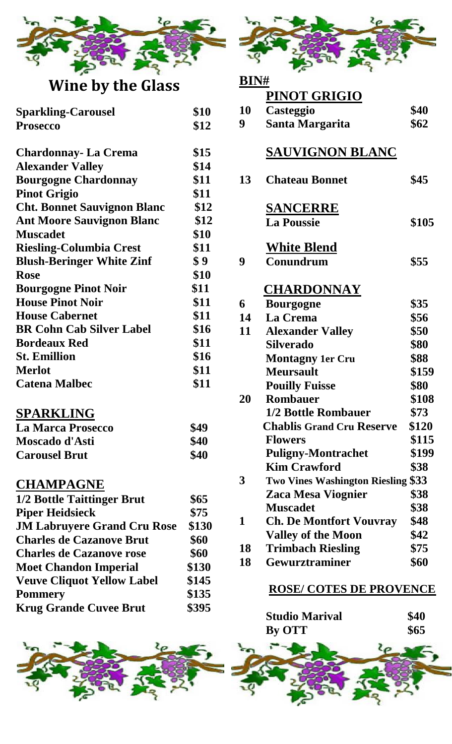

# **Wine by the Glass**

| <b>Sparkling-Carousel</b>          | \$10 |
|------------------------------------|------|
|                                    |      |
| <b>Prosecco</b>                    | \$12 |
| <b>Chardonnay- La Crema</b>        | \$15 |
| <b>Alexander Valley</b>            | \$14 |
| <b>Bourgogne Chardonnay</b>        | \$11 |
| <b>Pinot Grigio</b>                | \$11 |
| <b>Cht. Bonnet Sauvignon Blanc</b> | \$12 |
| <b>Ant Moore Sauvignon Blanc</b>   | \$12 |
| <b>Muscadet</b>                    | \$10 |
| <b>Riesling-Columbia Crest</b>     | \$11 |
| <b>Blush-Beringer White Zinf</b>   | \$9  |
| <b>Rose</b>                        | \$10 |
| <b>Bourgogne Pinot Noir</b>        | \$11 |
| <b>House Pinot Noir</b>            | \$11 |
| <b>House Cabernet</b>              | \$11 |
| <b>BR Cohn Cab Silver Label</b>    | \$16 |
| <b>Bordeaux Red</b>                | \$11 |
| <b>St. Emillion</b>                | \$16 |
| <b>Merlot</b>                      | \$11 |
| <b>Catena Malbec</b>               | \$11 |

## **SPARKLING**

| La Marca Prosecco    | \$49 |
|----------------------|------|
| Moscado d'Asti       | \$40 |
| <b>Carousel Brut</b> | \$40 |

#### **CHAMPAGNE**

| 1/2 Bottle Taittinger Brut         | \$65  |
|------------------------------------|-------|
| <b>Piper Heidsieck</b>             | \$75  |
| <b>JM Labruyere Grand Cru Rose</b> | \$130 |
| <b>Charles de Cazanove Brut</b>    | \$60  |
| <b>Charles de Cazanove rose</b>    | \$60  |
| <b>Moet Chandon Imperial</b>       | \$130 |
| <b>Veuve Cliquot Yellow Label</b>  | \$145 |
| <b>Pommery</b>                     | \$135 |
| <b>Krug Grande Cuvee Brut</b>      | \$395 |





# **BIN# PINOT GRIGIO 10 Casteggio \$40 9 Santa Margarita \$62 SAUVIGNON BLANC 13 Chateau Bonnet \$45 SANCERRE** La Poussie **\$105 White Blend 9 Conundrum \$55 CHARDONNAY 6 Bourgogne \$35 14 La Crema \$56 11 Alexander Valley \$50 Silverado \$80 Montagny 1er Cru \$88 Meursault \$159 Pouilly Fuisse \$80 20 Rombauer \$108 1/2 Bottle Rombauer \$73 62 Chablis Grand Cru Reserve \$120 Flowers \$115 Puligny-Montrachet \$199 Kim Crawford \$38 3 Two Vines Washington Riesling \$33 Zaca Mesa Viognier \$38 Muscadet \$38 1 Ch. De Montfort Vouvray \$48 Valley of the Moon \$42 18 Trimbach Riesling \$75 18 Gewurztraminer \$60**

#### **ROSE/ COTES DE PROVENCE**

| <b>Studio Marival</b> | <b>\$40</b> |
|-----------------------|-------------|
| <b>By OTT</b>         | <b>\$65</b> |